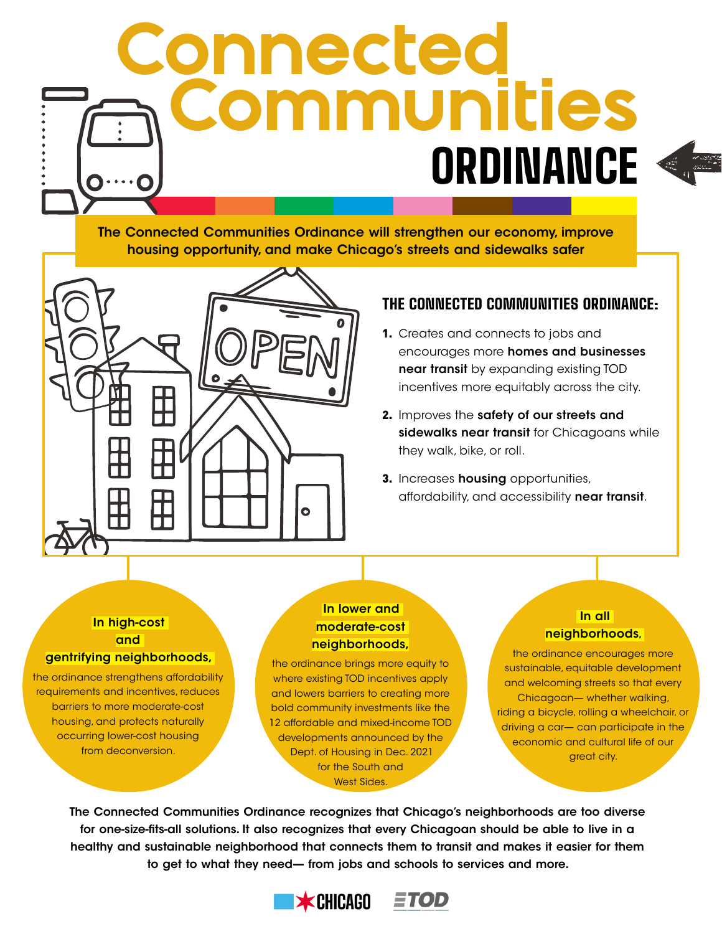# Communities **Connected ORDINANCE**

The Connected Communities Ordinance will strengthen our economy, improve housing opportunity, and make Chicago's streets and sidewalks safer



# THE CONNECTED COMMUNITIES ORDINANCE:

- 1. Creates and connects to jobs and encourages more homes and businesses near transit by expanding existing TOD incentives more equitably across the city.
- 2. Improves the safety of our streets and sidewalks near transit for Chicagoans while they walk, bike, or roll.
- 3. Increases housing opportunities, affordability, and accessibility near transit.

### In high-cost and gentrifying neighborhoods,

the ordinance strengthens affordability requirements and incentives, reduces barriers to more moderate-cost housing, and protects naturally occurring lower-cost housing from deconversion.

## In lower and moderate-cost neighborhoods,

the ordinance brings more equity to where existing TOD incentives apply and lowers barriers to creating more bold community investments like the 12 affordable and mixed-income TOD developments announced by the Dept. of Housing in Dec. 2021 for the South and West Sides.

# In all neighborhoods,

the ordinance encourages more sustainable, equitable development and welcoming streets so that every Chicagoan— whether walking, riding a bicycle, rolling a wheelchair, or driving a car— can participate in the economic and cultural life of our great city.

The Connected Communities Ordinance recognizes that Chicago's neighborhoods are too diverse for one-size-fits-all solutions. It also recognizes that every Chicagoan should be able to live in a healthy and sustainable neighborhood that connects them to transit and makes it easier for them to get to what they need— from jobs and schools to services and more.